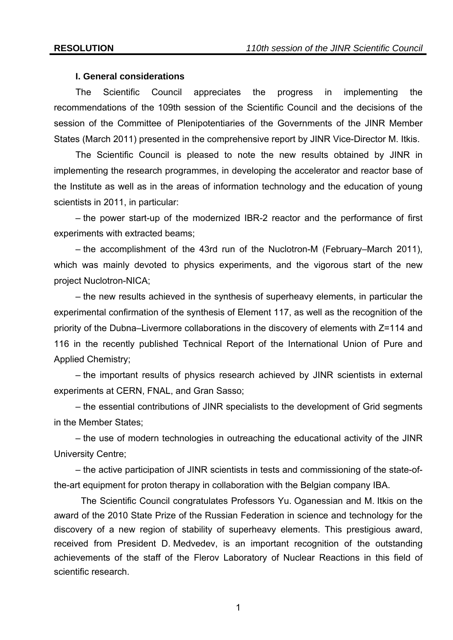#### **I. General considerations**

The Scientific Council appreciates the progress in implementing the recommendations of the 109th session of the Scientific Council and the decisions of the session of the Committee of Plenipotentiaries of the Governments of the JINR Member States (March 2011) presented in the comprehensive report by JINR Vice-Director M. Itkis.

The Scientific Council is pleased to note the new results obtained by JINR in implementing the research programmes, in developing the accelerator and reactor base of the Institute as well as in the areas of information technology and the education of young scientists in 2011, in particular:

– the power start-up of the modernized IBR-2 reactor and the performance of first experiments with extracted beams;

– the accomplishment of the 43rd run of the Nuclotron-M (February–March 2011), which was mainly devoted to physics experiments, and the vigorous start of the new project Nuclotron-NICA;

– the new results achieved in the synthesis of superheavy elements, in particular the experimental confirmation of the synthesis of Element 117, as well as the recognition of the priority of the Dubna–Livermore collaborations in the discovery of elements with Z=114 and 116 in the recently published Technical Report of the International Union of Pure and Applied Chemistry;

– the important results of physics research achieved by JINR scientists in external experiments at CERN, FNAL, and Gran Sasso;

– the essential contributions of JINR specialists to the development of Grid segments in the Member States;

– the use of modern technologies in outreaching the educational activity of the JINR University Centre;

– the active participation of JINR scientists in tests and commissioning of the state-ofthe-art equipment for proton therapy in collaboration with the Belgian company IBA.

The Scientific Council congratulates Professors Yu. Oganessian and M. Itkis on the award of the 2010 State Prize of the Russian Federation in science and technology for the discovery of a new region of stability of superheavy elements. This prestigious award, received from President D. Medvedev, is an important recognition of the outstanding achievements of the staff of the Flerov Laboratory of Nuclear Reactions in this field of scientific research.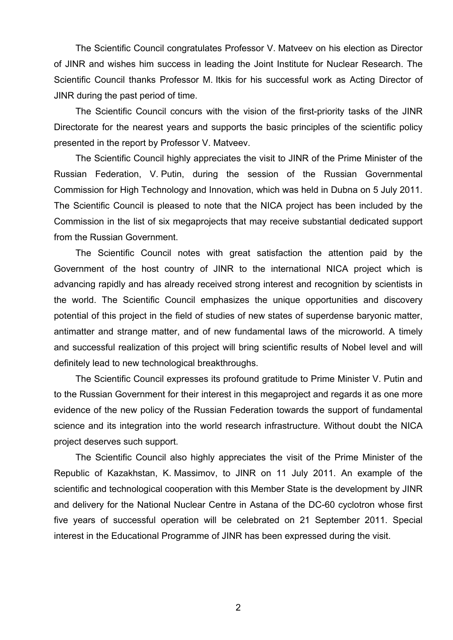The Scientific Council congratulates Professor V. Matveev on his election as Director of JINR and wishes him success in leading the Joint Institute for Nuclear Research. The Scientific Council thanks Professor M. Itkis for his successful work as Acting Director of JINR during the past period of time.

The Scientific Council concurs with the vision of the first-priority tasks of the JINR Directorate for the nearest years and supports the basic principles of the scientific policy presented in the report by Professor V. Matveev.

The Scientific Council highly appreciates the visit to JINR of the Prime Minister of the Russian Federation, V. Putin, during the session of the Russian Governmental Commission for High Technology and Innovation, which was held in Dubna on 5 July 2011. The Scientific Council is pleased to note that the NICA project has been included by the Commission in the list of six megaprojects that may receive substantial dedicated support from the Russian Government.

The Scientific Council notes with great satisfaction the attention paid by the Government of the host country of JINR to the international NICA project which is advancing rapidly and has already received strong interest and recognition by scientists in the world. The Scientific Council emphasizes the unique opportunities and discovery potential of this project in the field of studies of new states of superdense baryonic matter, antimatter and strange matter, and of new fundamental laws of the microworld. A timely and successful realization of this project will bring scientific results of Nobel level and will definitely lead to new technological breakthroughs.

The Scientific Council expresses its profound gratitude to Prime Minister V. Putin and to the Russian Government for their interest in this megaproject and regards it as one more evidence of the new policy of the Russian Federation towards the support of fundamental science and its integration into the world research infrastructure. Without doubt the NICA project deserves such support.

The Scientific Council also highly appreciates the visit of the Prime Minister of the Republic of Kazakhstan, K. Massimov, to JINR on 11 July 2011. An example of the scientific and technological cooperation with this Member State is the development by JINR and delivery for the National Nuclear Centre in Astana of the DC-60 cyclotron whose first five years of successful operation will be celebrated on 21 September 2011. Special interest in the Educational Programme of JINR has been expressed during the visit.

2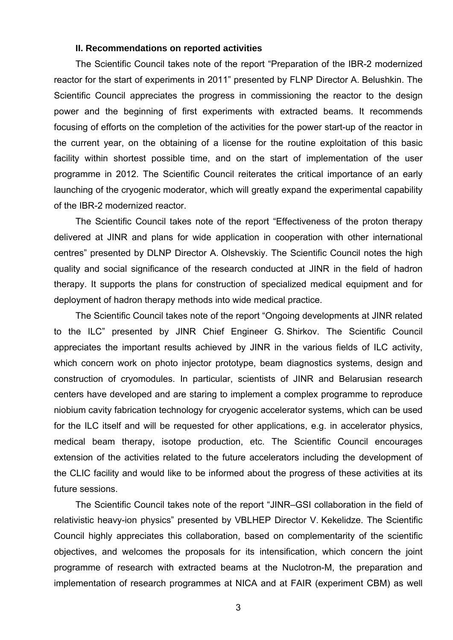#### **II. Recommendations on reported activities**

The Scientific Council takes note of the report "Preparation of the IBR-2 modernized reactor for the start of experiments in 2011" presented by FLNP Director A. Belushkin. The Scientific Council appreciates the progress in commissioning the reactor to the design power and the beginning of first experiments with extracted beams. It recommends focusing of efforts on the completion of the activities for the power start-up of the reactor in the current year, on the obtaining of a license for the routine exploitation of this basic facility within shortest possible time, and on the start of implementation of the user programme in 2012. The Scientific Council reiterates the critical importance of an early launching of the cryogenic moderator, which will greatly expand the experimental capability of the IBR-2 modernized reactor.

The Scientific Council takes note of the report "Effectiveness of the proton therapy delivered at JINR and plans for wide application in cooperation with other international centres" presented by DLNP Director A. Olshevskiy. The Scientific Council notes the high quality and social significance of the research conducted at JINR in the field of hadron therapy. It supports the plans for construction of specialized medical equipment and for deployment of hadron therapy methods into wide medical practice.

The Scientific Council takes note of the report "Ongoing developments at JINR related to the ILC" presented by JINR Chief Engineer G. Shirkov. The Scientific Council appreciates the important results achieved by JINR in the various fields of ILC activity, which concern work on photo injector prototype, beam diagnostics systems, design and construction of cryomodules. In particular, scientists of JINR and Belarusian research centers have developed and are staring to implement a complex programme to reproduce niobium cavity fabrication technology for cryogenic accelerator systems, which can be used for the ILC itself and will be requested for other applications, e.g. in accelerator physics, medical beam therapy, isotope production, etc. The Scientific Council encourages extension of the activities related to the future accelerators including the development of the CLIC facility and would like to be informed about the progress of these activities at its future sessions.

The Scientific Council takes note of the report "JINR–GSI collaboration in the field of relativistic heavy-ion physics" presented by VBLHEP Director V. Kekelidze. The Scientific Council highly appreciates this collaboration, based on complementarity of the scientific objectives, and welcomes the proposals for its intensification, which concern the joint programme of research with extracted beams at the Nuclotron-M, the preparation and implementation of research programmes at NICA and at FAIR (experiment CBM) as well

3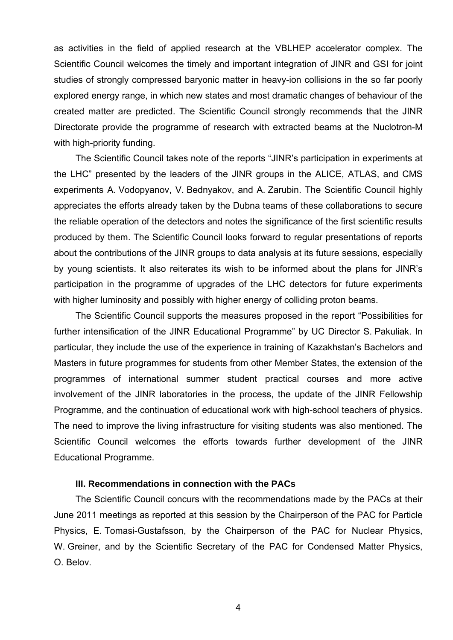as activities in the field of applied research at the VBLHEP accelerator complex. The Scientific Council welcomes the timely and important integration of JINR and GSI for joint studies of strongly compressed baryonic matter in heavy-ion collisions in the so far poorly explored energy range, in which new states and most dramatic changes of behaviour of the created matter are predicted. The Scientific Council strongly recommends that the JINR Directorate provide the programme of research with extracted beams at the Nuclotron-M with high-priority funding.

The Scientific Council takes note of the reports "JINR's participation in experiments at the LHC" presented by the leaders of the JINR groups in the ALICE, ATLAS, and CMS experiments A. Vodopyanov, V. Bednyakov, and A. Zarubin. The Scientific Council highly appreciates the efforts already taken by the Dubna teams of these collaborations to secure the reliable operation of the detectors and notes the significance of the first scientific results produced by them. The Scientific Council looks forward to regular presentations of reports about the contributions of the JINR groups to data analysis at its future sessions, especially by young scientists. It also reiterates its wish to be informed about the plans for JINR's participation in the programme of upgrades of the LHC detectors for future experiments with higher luminosity and possibly with higher energy of colliding proton beams.

The Scientific Council supports the measures proposed in the report "Possibilities for further intensification of the JINR Educational Programme" by UC Director S. Pakuliak. In particular, they include the use of the experience in training of Kazakhstan's Bachelors and Masters in future programmes for students from other Member States, the extension of the programmes of international summer student practical courses and more active involvement of the JINR laboratories in the process, the update of the JINR Fellowship Programme, and the continuation of educational work with high-school teachers of physics. The need to improve the living infrastructure for visiting students was also mentioned. The Scientific Council welcomes the efforts towards further development of the JINR Educational Programme.

## **III. Recommendations in connection with the PACs**

The Scientific Council concurs with the recommendations made by the PACs at their June 2011 meetings as reported at this session by the Chairperson of the PAC for Particle Physics, E. Tomasi-Gustafsson, by the Chairperson of the PAC for Nuclear Physics, W. Greiner, and by the Scientific Secretary of the PAC for Condensed Matter Physics, O. Belov.

4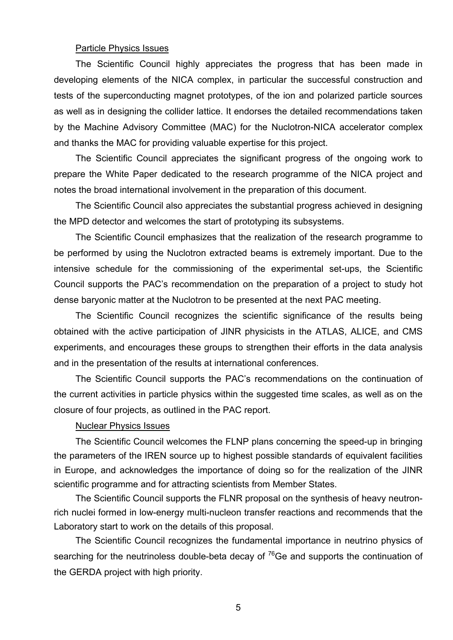# Particle Physics Issues

The Scientific Council highly appreciates the progress that has been made in developing elements of the NICA complex, in particular the successful construction and tests of the superconducting magnet prototypes, of the ion and polarized particle sources as well as in designing the collider lattice. It endorses the detailed recommendations taken by the Machine Advisory Committee (MAC) for the Nuclotron-NICA accelerator complex and thanks the MAC for providing valuable expertise for this project.

The Scientific Council appreciates the significant progress of the ongoing work to prepare the White Paper dedicated to the research programme of the NICA project and notes the broad international involvement in the preparation of this document.

The Scientific Council also appreciates the substantial progress achieved in designing the MPD detector and welcomes the start of prototyping its subsystems.

The Scientific Council emphasizes that the realization of the research programme to be performed by using the Nuclotron extracted beams is extremely important. Due to the intensive schedule for the commissioning of the experimental set-ups, the Scientific Council supports the PAC's recommendation on the preparation of a project to study hot dense baryonic matter at the Nuclotron to be presented at the next PAC meeting.

The Scientific Council recognizes the scientific significance of the results being obtained with the active participation of JINR physicists in the ATLAS, ALICE, and CMS experiments, and encourages these groups to strengthen their efforts in the data analysis and in the presentation of the results at international conferences.

The Scientific Council supports the PAC's recommendations on the continuation of the current activities in particle physics within the suggested time scales, as well as on the closure of four projects, as outlined in the PAC report.

#### Nuclear Physics Issues

The Scientific Council welcomes the FLNP plans concerning the speed-up in bringing the parameters of the IREN source up to highest possible standards of equivalent facilities in Europe, and acknowledges the importance of doing so for the realization of the JINR scientific programme and for attracting scientists from Member States.

The Scientific Council supports the FLNR proposal on the synthesis of heavy neutronrich nuclei formed in low-energy multi-nucleon transfer reactions and recommends that the Laboratory start to work on the details of this proposal.

The Scientific Council recognizes the fundamental importance in neutrino physics of searching for the neutrinoless double-beta decay of  $76$ Ge and supports the continuation of the GERDA project with high priority.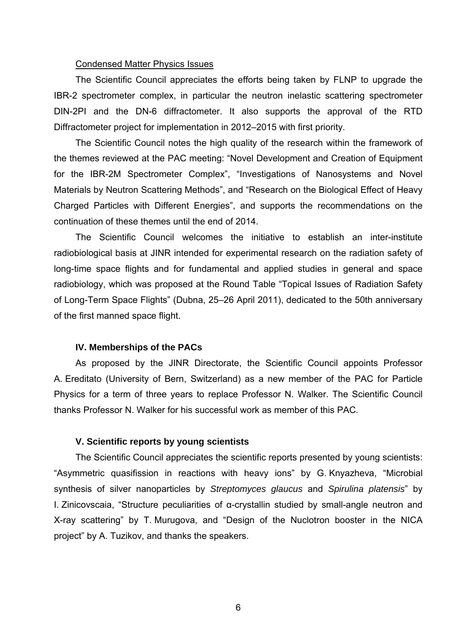#### Condensed Matter Physics Issues

The Scientific Council appreciates the efforts being taken by FLNP to upgrade the IBR-2 spectrometer complex, in particular the neutron inelastic scattering spectrometer DIN-2PI and the DN-6 diffractometer. It also supports the approval of the RTD Diffractometer project for implementation in 2012–2015 with first priority.

The Scientific Council notes the high quality of the research within the framework of the themes reviewed at the PAC meeting: "Novel Development and Creation of Equipment for the IBR-2M Spectrometer Complex", "Investigations of Nanosystems and Novel Materials by Neutron Scattering Methods", and "Research on the Biological Effect of Heavy Charged Particles with Different Energies", and supports the recommendations on the continuation of these themes until the end of 2014.

The Scientific Council welcomes the initiative to establish an inter-institute radiobiological basis at JINR intended for experimental research on the radiation safety of long-time space flights and for fundamental and applied studies in general and space radiobiology, which was proposed at the Round Table "Topical Issues of Radiation Safety of Long-Term Space Flights" (Dubna, 25–26 April 2011), dedicated to the 50th anniversary of the first manned space flight.

## **IV. Memberships of the PACs**

As proposed by the JINR Directorate, the Scientific Council appoints Professor A. Ereditato (University of Bern, Switzerland) as a new member of the PAC for Particle Physics for a term of three years to replace Professor N. Walker. The Scientific Council thanks Professor N. Walker for his successful work as member of this PAC.

#### **V. Scientific reports by young scientists**

The Scientific Council appreciates the scientific reports presented by young scientists: "Asymmetric quasifission in reactions with heavy ions" by G. Knyazheva, "Microbial synthesis of silver nanoparticles by *Streptomyces glaucus* and *Spirulina platensis*" by I. Zinicovscaia, "Structure peculiarities of α-crystallin studied by small-angle neutron and X-ray scattering" by T. Murugova, and "Design of the Nuclotron booster in the NICA project" by A. Tuzikov, and thanks the speakers.